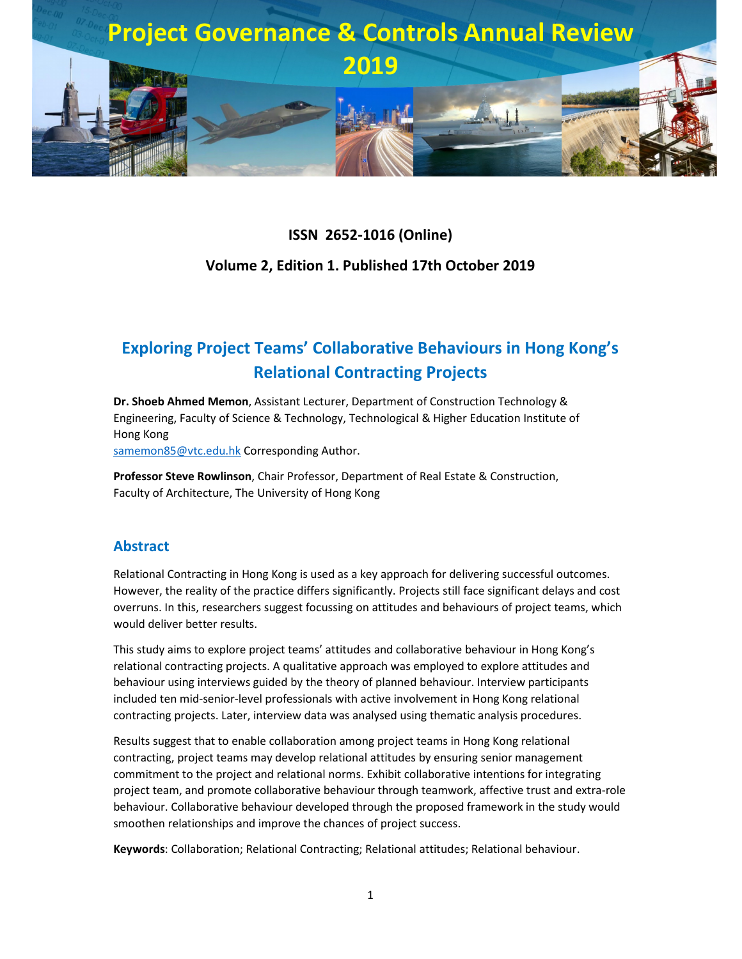

### **ISSN 2652-1016 (Online)**

### **Volume 2, Edition 1. Published 17th October 2019**

# **Exploring Project Teams' Collaborative Behaviours in Hong Kong's Relational Contracting Projects**

**Dr. Shoeb Ahmed Memon**, Assistant Lecturer, Department of Construction Technology & Engineering, Faculty of Science & Technology, Technological & Higher Education Institute of Hong Kong

samemon85@vtc.edu.hk Corresponding Author.

**Professor Steve Rowlinson**, Chair Professor, Department of Real Estate & Construction, Faculty of Architecture, The University of Hong Kong

#### **Abstract**

Relational Contracting in Hong Kong is used as a key approach for delivering successful outcomes. However, the reality of the practice differs significantly. Projects still face significant delays and cost overruns. In this, researchers suggest focussing on attitudes and behaviours of project teams, which would deliver better results.

This study aims to explore project teams' attitudes and collaborative behaviour in Hong Kong's relational contracting projects. A qualitative approach was employed to explore attitudes and behaviour using interviews guided by the theory of planned behaviour. Interview participants included ten mid-senior-level professionals with active involvement in Hong Kong relational contracting projects. Later, interview data was analysed using thematic analysis procedures.

Results suggest that to enable collaboration among project teams in Hong Kong relational contracting, project teams may develop relational attitudes by ensuring senior management commitment to the project and relational norms. Exhibit collaborative intentions for integrating project team, and promote collaborative behaviour through teamwork, affective trust and extra-role behaviour. Collaborative behaviour developed through the proposed framework in the study would smoothen relationships and improve the chances of project success.

**Keywords**: Collaboration; Relational Contracting; Relational attitudes; Relational behaviour.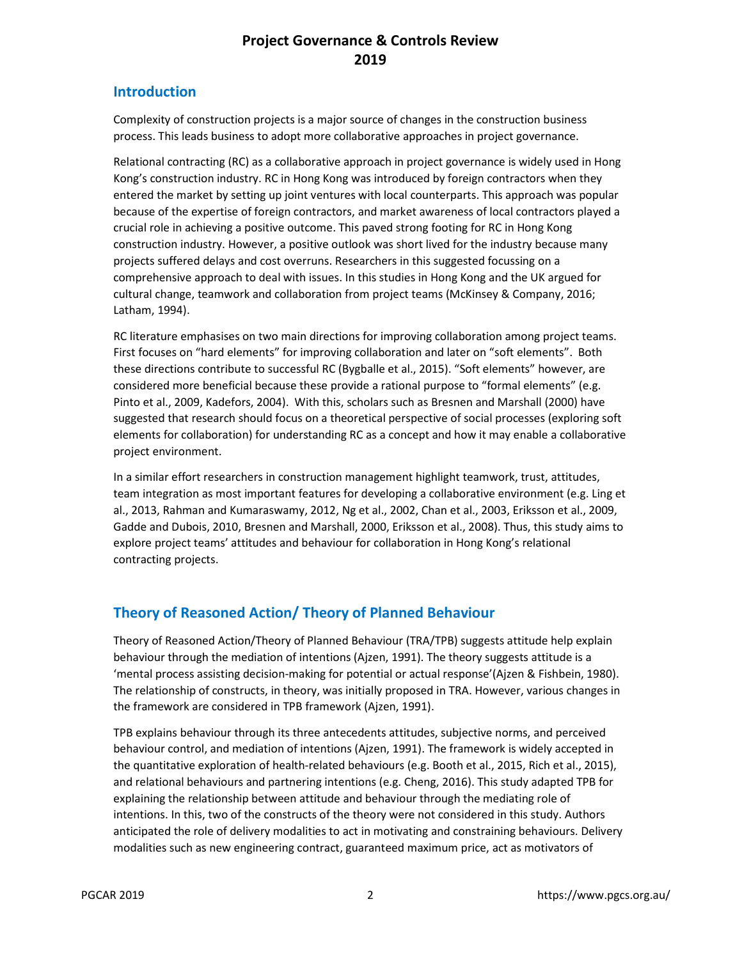### **Introduction**

Complexity of construction projects is a major source of changes in the construction business process. This leads business to adopt more collaborative approaches in project governance.

Relational contracting (RC) as a collaborative approach in project governance is widely used in Hong Kong's construction industry. RC in Hong Kong was introduced by foreign contractors when they entered the market by setting up joint ventures with local counterparts. This approach was popular because of the expertise of foreign contractors, and market awareness of local contractors played a crucial role in achieving a positive outcome. This paved strong footing for RC in Hong Kong construction industry. However, a positive outlook was short lived for the industry because many projects suffered delays and cost overruns. Researchers in this suggested focussing on a comprehensive approach to deal with issues. In this studies in Hong Kong and the UK argued for cultural change, teamwork and collaboration from project teams (McKinsey & Company, 2016; Latham, 1994).

RC literature emphasises on two main directions for improving collaboration among project teams. First focuses on "hard elements" for improving collaboration and later on "soft elements". Both these directions contribute to successful RC (Bygballe et al., 2015). "Soft elements" however, are considered more beneficial because these provide a rational purpose to "formal elements" (e.g. Pinto et al., 2009, Kadefors, 2004). With this, scholars such as Bresnen and Marshall (2000) have suggested that research should focus on a theoretical perspective of social processes (exploring soft elements for collaboration) for understanding RC as a concept and how it may enable a collaborative project environment.

In a similar effort researchers in construction management highlight teamwork, trust, attitudes, team integration as most important features for developing a collaborative environment (e.g. Ling et al., 2013, Rahman and Kumaraswamy, 2012, Ng et al., 2002, Chan et al., 2003, Eriksson et al., 2009, Gadde and Dubois, 2010, Bresnen and Marshall, 2000, Eriksson et al., 2008). Thus, this study aims to explore project teams' attitudes and behaviour for collaboration in Hong Kong's relational contracting projects.

# **Theory of Reasoned Action/ Theory of Planned Behaviour**

Theory of Reasoned Action/Theory of Planned Behaviour (TRA/TPB) suggests attitude help explain behaviour through the mediation of intentions (Ajzen, 1991). The theory suggests attitude is a 'mental process assisting decision-making for potential or actual response'(Ajzen & Fishbein, 1980). The relationship of constructs, in theory, was initially proposed in TRA. However, various changes in the framework are considered in TPB framework (Ajzen, 1991).

TPB explains behaviour through its three antecedents attitudes, subjective norms, and perceived behaviour control, and mediation of intentions (Ajzen, 1991). The framework is widely accepted in the quantitative exploration of health-related behaviours (e.g. Booth et al., 2015, Rich et al., 2015), and relational behaviours and partnering intentions (e.g. Cheng, 2016). This study adapted TPB for explaining the relationship between attitude and behaviour through the mediating role of intentions. In this, two of the constructs of the theory were not considered in this study. Authors anticipated the role of delivery modalities to act in motivating and constraining behaviours. Delivery modalities such as new engineering contract, guaranteed maximum price, act as motivators of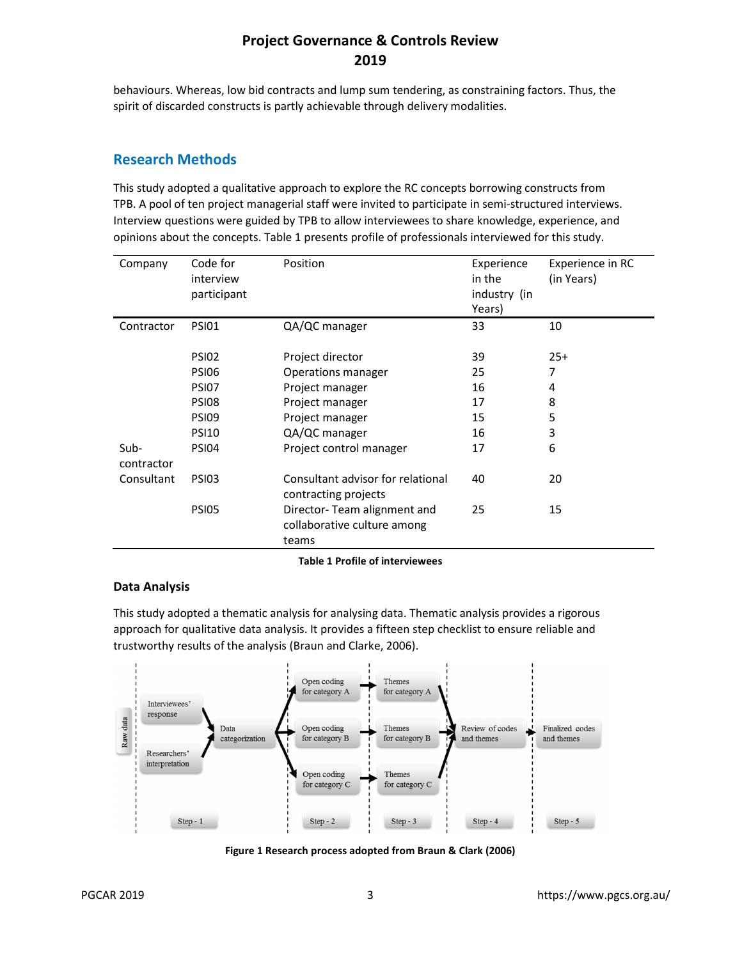behaviours. Whereas, low bid contracts and lump sum tendering, as constraining factors. Thus, the spirit of discarded constructs is partly achievable through delivery modalities.

#### **Research Methods**

This study adopted a qualitative approach to explore the RC concepts borrowing constructs from TPB. A pool of ten project managerial staff were invited to participate in semi-structured interviews. Interview questions were guided by TPB to allow interviewees to share knowledge, experience, and opinions about the concepts. Table 1 presents profile of professionals interviewed for this study.

| Company            | Code for<br>interview<br>participant | Position                                                            | Experience<br>in the<br>industry (in<br>Years) | Experience in RC<br>(in Years) |
|--------------------|--------------------------------------|---------------------------------------------------------------------|------------------------------------------------|--------------------------------|
| Contractor         | <b>PSI01</b>                         | QA/QC manager                                                       | 33                                             | 10                             |
|                    | <b>PSI02</b>                         | Project director                                                    | 39                                             | $25+$                          |
|                    | <b>PSI06</b>                         | Operations manager                                                  | 25                                             | 7                              |
|                    | <b>PSI07</b>                         | Project manager                                                     | 16                                             | 4                              |
|                    | <b>PSI08</b>                         | Project manager                                                     | 17                                             | 8                              |
|                    | <b>PSI09</b>                         | Project manager                                                     | 15                                             | 5                              |
|                    | <b>PSI10</b>                         | QA/QC manager                                                       | 16                                             | 3                              |
| Sub-<br>contractor | <b>PSI04</b>                         | Project control manager                                             | 17                                             | 6                              |
| Consultant         | <b>PSI03</b>                         | Consultant advisor for relational<br>contracting projects           | 40                                             | 20                             |
|                    | <b>PSI05</b>                         | Director-Team alignment and<br>collaborative culture among<br>teams | 25                                             | 15                             |

**Table 1 Profile of interviewees** 

#### **Data Analysis**

This study adopted a thematic analysis for analysing data. Thematic analysis provides a rigorous approach for qualitative data analysis. It provides a fifteen step checklist to ensure reliable and trustworthy results of the analysis (Braun and Clarke, 2006).



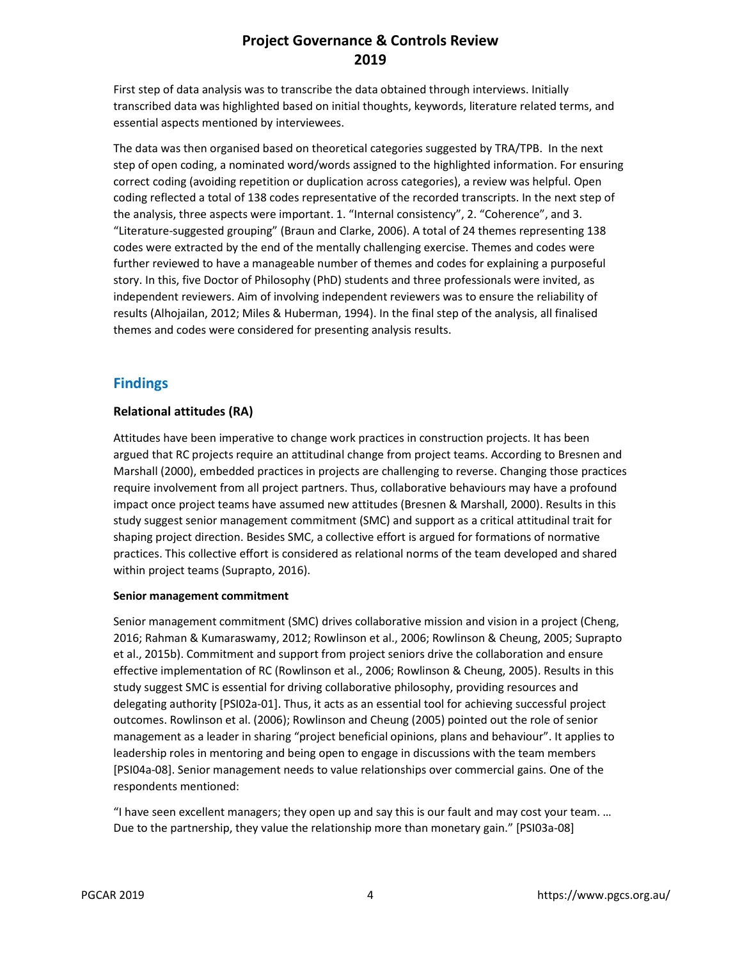First step of data analysis was to transcribe the data obtained through interviews. Initially transcribed data was highlighted based on initial thoughts, keywords, literature related terms, and essential aspects mentioned by interviewees.

The data was then organised based on theoretical categories suggested by TRA/TPB. In the next step of open coding, a nominated word/words assigned to the highlighted information. For ensuring correct coding (avoiding repetition or duplication across categories), a review was helpful. Open coding reflected a total of 138 codes representative of the recorded transcripts. In the next step of the analysis, three aspects were important. 1. "Internal consistency", 2. "Coherence", and 3. "Literature-suggested grouping" (Braun and Clarke, 2006). A total of 24 themes representing 138 codes were extracted by the end of the mentally challenging exercise. Themes and codes were further reviewed to have a manageable number of themes and codes for explaining a purposeful story. In this, five Doctor of Philosophy (PhD) students and three professionals were invited, as independent reviewers. Aim of involving independent reviewers was to ensure the reliability of results (Alhojailan, 2012; Miles & Huberman, 1994). In the final step of the analysis, all finalised themes and codes were considered for presenting analysis results.

### **Findings**

#### **Relational attitudes (RA)**

Attitudes have been imperative to change work practices in construction projects. It has been argued that RC projects require an attitudinal change from project teams. According to Bresnen and Marshall (2000), embedded practices in projects are challenging to reverse. Changing those practices require involvement from all project partners. Thus, collaborative behaviours may have a profound impact once project teams have assumed new attitudes (Bresnen & Marshall, 2000). Results in this study suggest senior management commitment (SMC) and support as a critical attitudinal trait for shaping project direction. Besides SMC, a collective effort is argued for formations of normative practices. This collective effort is considered as relational norms of the team developed and shared within project teams (Suprapto, 2016).

#### **Senior management commitment**

Senior management commitment (SMC) drives collaborative mission and vision in a project (Cheng, 2016; Rahman & Kumaraswamy, 2012; Rowlinson et al., 2006; Rowlinson & Cheung, 2005; Suprapto et al., 2015b). Commitment and support from project seniors drive the collaboration and ensure effective implementation of RC (Rowlinson et al., 2006; Rowlinson & Cheung, 2005). Results in this study suggest SMC is essential for driving collaborative philosophy, providing resources and delegating authority [PSI02a-01]. Thus, it acts as an essential tool for achieving successful project outcomes. Rowlinson et al. (2006); Rowlinson and Cheung (2005) pointed out the role of senior management as a leader in sharing "project beneficial opinions, plans and behaviour". It applies to leadership roles in mentoring and being open to engage in discussions with the team members [PSI04a-08]. Senior management needs to value relationships over commercial gains. One of the respondents mentioned:

"I have seen excellent managers; they open up and say this is our fault and may cost your team. … Due to the partnership, they value the relationship more than monetary gain." [PSI03a-08]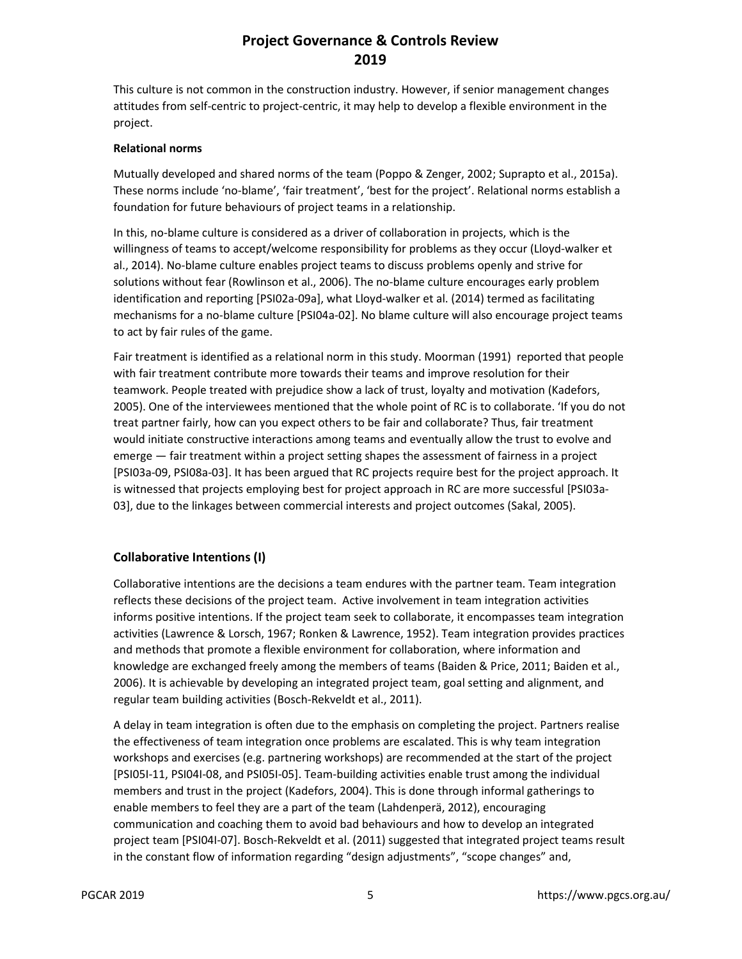This culture is not common in the construction industry. However, if senior management changes attitudes from self-centric to project-centric, it may help to develop a flexible environment in the project.

#### **Relational norms**

Mutually developed and shared norms of the team (Poppo & Zenger, 2002; Suprapto et al., 2015a). These norms include 'no-blame', 'fair treatment', 'best for the project'. Relational norms establish a foundation for future behaviours of project teams in a relationship.

In this, no-blame culture is considered as a driver of collaboration in projects, which is the willingness of teams to accept/welcome responsibility for problems as they occur (Lloyd-walker et al., 2014). No-blame culture enables project teams to discuss problems openly and strive for solutions without fear (Rowlinson et al., 2006). The no-blame culture encourages early problem identification and reporting [PSI02a-09a], what Lloyd-walker et al. (2014) termed as facilitating mechanisms for a no-blame culture [PSI04a-02]. No blame culture will also encourage project teams to act by fair rules of the game.

Fair treatment is identified as a relational norm in this study. Moorman (1991) reported that people with fair treatment contribute more towards their teams and improve resolution for their teamwork. People treated with prejudice show a lack of trust, loyalty and motivation (Kadefors, 2005). One of the interviewees mentioned that the whole point of RC is to collaborate. 'If you do not treat partner fairly, how can you expect others to be fair and collaborate? Thus, fair treatment would initiate constructive interactions among teams and eventually allow the trust to evolve and emerge — fair treatment within a project setting shapes the assessment of fairness in a project [PSI03a-09, PSI08a-03]. It has been argued that RC projects require best for the project approach. It is witnessed that projects employing best for project approach in RC are more successful [PSI03a-03], due to the linkages between commercial interests and project outcomes (Sakal, 2005).

#### **Collaborative Intentions (I)**

Collaborative intentions are the decisions a team endures with the partner team. Team integration reflects these decisions of the project team. Active involvement in team integration activities informs positive intentions. If the project team seek to collaborate, it encompasses team integration activities (Lawrence & Lorsch, 1967; Ronken & Lawrence, 1952). Team integration provides practices and methods that promote a flexible environment for collaboration, where information and knowledge are exchanged freely among the members of teams (Baiden & Price, 2011; Baiden et al., 2006). It is achievable by developing an integrated project team, goal setting and alignment, and regular team building activities (Bosch-Rekveldt et al., 2011).

A delay in team integration is often due to the emphasis on completing the project. Partners realise the effectiveness of team integration once problems are escalated. This is why team integration workshops and exercises (e.g. partnering workshops) are recommended at the start of the project [PSI05I-11, PSI04I-08, and PSI05I-05]. Team-building activities enable trust among the individual members and trust in the project (Kadefors, 2004). This is done through informal gatherings to enable members to feel they are a part of the team (Lahdenperä, 2012), encouraging communication and coaching them to avoid bad behaviours and how to develop an integrated project team [PSI04I-07]. Bosch-Rekveldt et al. (2011) suggested that integrated project teams result in the constant flow of information regarding "design adjustments", "scope changes" and,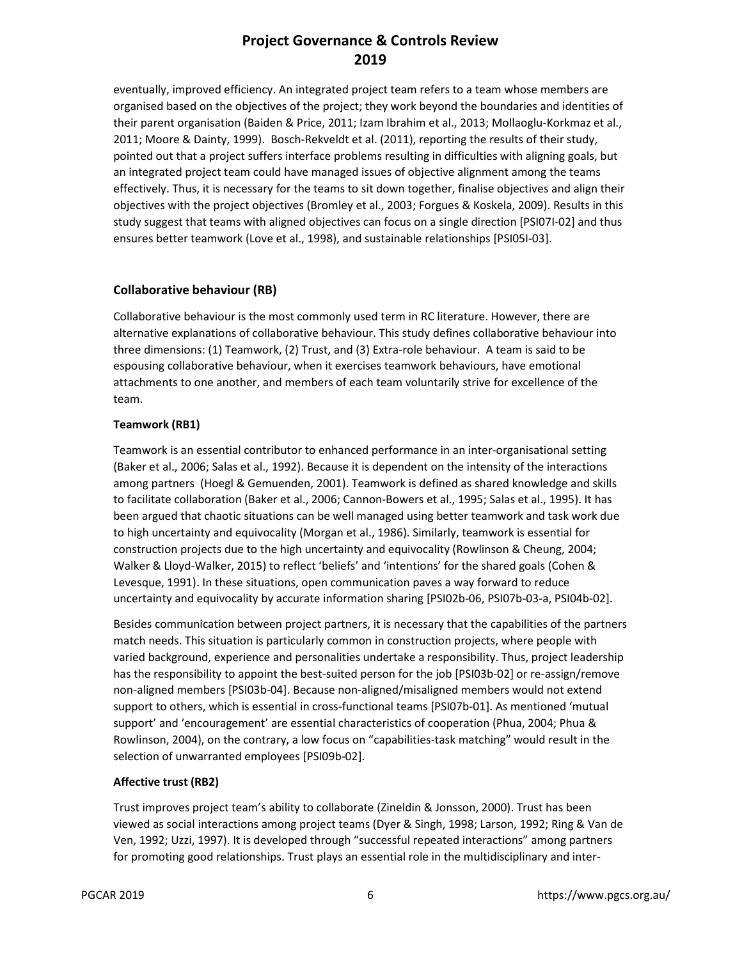eventually, improved efficiency. An integrated project team refers to a team whose members are organised based on the objectives of the project; they work beyond the boundaries and identities of their parent organisation (Baiden & Price, 2011; Izam Ibrahim et al., 2013; Mollaoglu-Korkmaz et al., 2011; Moore & Dainty, 1999). Bosch-Rekveldt et al. (2011), reporting the results of their study, pointed out that a project suffers interface problems resulting in difficulties with aligning goals, but an integrated project team could have managed issues of objective alignment among the teams effectively. Thus, it is necessary for the teams to sit down together, finalise objectives and align their objectives with the project objectives (Bromley et al., 2003; Forgues & Koskela, 2009). Results in this study suggest that teams with aligned objectives can focus on a single direction [PSI07I-02] and thus ensures better teamwork (Love et al., 1998), and sustainable relationships [PSI05I-03].

#### **Collaborative behaviour (RB)**

Collaborative behaviour is the most commonly used term in RC literature. However, there are alternative explanations of collaborative behaviour. This study defines collaborative behaviour into three dimensions: (1) Teamwork, (2) Trust, and (3) Extra-role behaviour. A team is said to be espousing collaborative behaviour, when it exercises teamwork behaviours, have emotional attachments to one another, and members of each team voluntarily strive for excellence of the team.

#### **Teamwork (RB1)**

Teamwork is an essential contributor to enhanced performance in an inter-organisational setting (Baker et al., 2006; Salas et al., 1992). Because it is dependent on the intensity of the interactions among partners (Hoegl & Gemuenden, 2001). Teamwork is defined as shared knowledge and skills to facilitate collaboration (Baker et al., 2006; Cannon-Bowers et al., 1995; Salas et al., 1995). It has been argued that chaotic situations can be well managed using better teamwork and task work due to high uncertainty and equivocality (Morgan et al., 1986). Similarly, teamwork is essential for construction projects due to the high uncertainty and equivocality (Rowlinson & Cheung, 2004; Walker & Lloyd-Walker, 2015) to reflect 'beliefs' and 'intentions' for the shared goals (Cohen & Levesque, 1991). In these situations, open communication paves a way forward to reduce uncertainty and equivocality by accurate information sharing [PSI02b-06, PSI07b-03-a, PSI04b-02].

Besides communication between project partners, it is necessary that the capabilities of the partners match needs. This situation is particularly common in construction projects, where people with varied background, experience and personalities undertake a responsibility. Thus, project leadership has the responsibility to appoint the best-suited person for the job [PSI03b-02] or re-assign/remove non-aligned members [PSI03b-04]. Because non-aligned/misaligned members would not extend support to others, which is essential in cross-functional teams [PSI07b-01]. As mentioned 'mutual support' and 'encouragement' are essential characteristics of cooperation (Phua, 2004; Phua & Rowlinson, 2004), on the contrary, a low focus on "capabilities-task matching" would result in the selection of unwarranted employees [PSI09b-02].

#### **Affective trust (RB2)**

Trust improves project team's ability to collaborate (Zineldin & Jonsson, 2000). Trust has been viewed as social interactions among project teams (Dyer & Singh, 1998; Larson, 1992; Ring & Van de Ven, 1992; Uzzi, 1997). It is developed through "successful repeated interactions" among partners for promoting good relationships. Trust plays an essential role in the multidisciplinary and inter-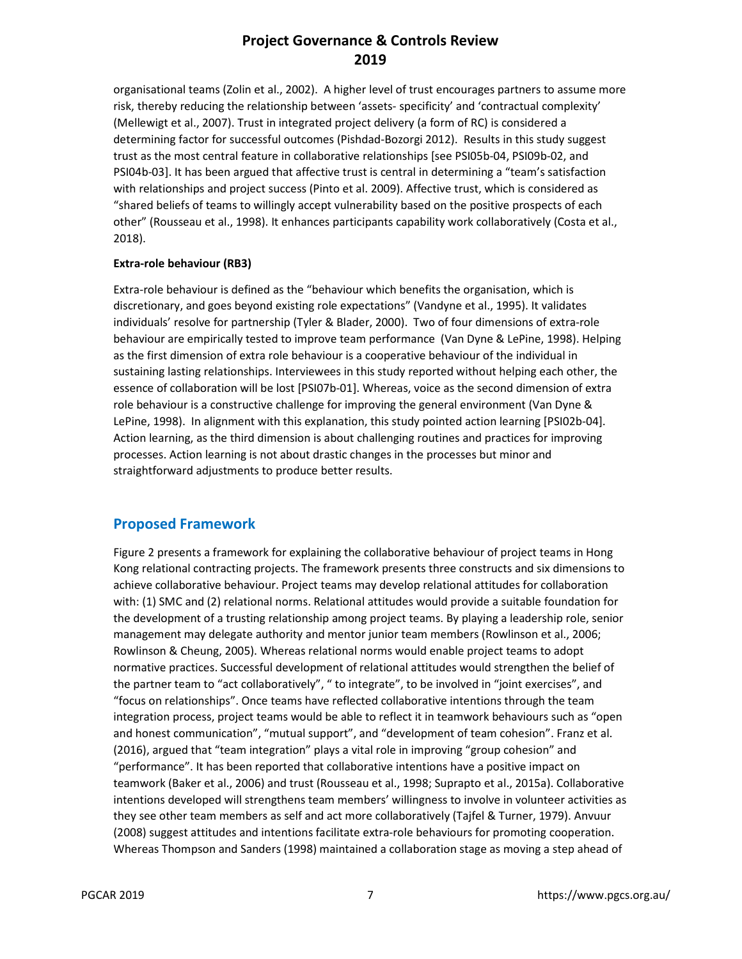organisational teams (Zolin et al., 2002). A higher level of trust encourages partners to assume more risk, thereby reducing the relationship between 'assets- specificity' and 'contractual complexity' (Mellewigt et al., 2007). Trust in integrated project delivery (a form of RC) is considered a determining factor for successful outcomes (Pishdad-Bozorgi 2012). Results in this study suggest trust as the most central feature in collaborative relationships [see PSI05b-04, PSI09b-02, and PSI04b-03]. It has been argued that affective trust is central in determining a "team's satisfaction with relationships and project success (Pinto et al. 2009). Affective trust, which is considered as "shared beliefs of teams to willingly accept vulnerability based on the positive prospects of each other" (Rousseau et al., 1998). It enhances participants capability work collaboratively (Costa et al., 2018).

#### **Extra-role behaviour (RB3)**

Extra-role behaviour is defined as the "behaviour which benefits the organisation, which is discretionary, and goes beyond existing role expectations" (Vandyne et al., 1995). It validates individuals' resolve for partnership (Tyler & Blader, 2000). Two of four dimensions of extra-role behaviour are empirically tested to improve team performance (Van Dyne & LePine, 1998). Helping as the first dimension of extra role behaviour is a cooperative behaviour of the individual in sustaining lasting relationships. Interviewees in this study reported without helping each other, the essence of collaboration will be lost [PSI07b-01]. Whereas, voice as the second dimension of extra role behaviour is a constructive challenge for improving the general environment (Van Dyne & LePine, 1998). In alignment with this explanation, this study pointed action learning [PSI02b-04]. Action learning, as the third dimension is about challenging routines and practices for improving processes. Action learning is not about drastic changes in the processes but minor and straightforward adjustments to produce better results.

#### **Proposed Framework**

Figure 2 presents a framework for explaining the collaborative behaviour of project teams in Hong Kong relational contracting projects. The framework presents three constructs and six dimensions to achieve collaborative behaviour. Project teams may develop relational attitudes for collaboration with: (1) SMC and (2) relational norms. Relational attitudes would provide a suitable foundation for the development of a trusting relationship among project teams. By playing a leadership role, senior management may delegate authority and mentor junior team members (Rowlinson et al., 2006; Rowlinson & Cheung, 2005). Whereas relational norms would enable project teams to adopt normative practices. Successful development of relational attitudes would strengthen the belief of the partner team to "act collaboratively", " to integrate", to be involved in "joint exercises", and "focus on relationships". Once teams have reflected collaborative intentions through the team integration process, project teams would be able to reflect it in teamwork behaviours such as "open and honest communication", "mutual support", and "development of team cohesion". Franz et al. (2016), argued that "team integration" plays a vital role in improving "group cohesion" and "performance". It has been reported that collaborative intentions have a positive impact on teamwork (Baker et al., 2006) and trust (Rousseau et al., 1998; Suprapto et al., 2015a). Collaborative intentions developed will strengthens team members' willingness to involve in volunteer activities as they see other team members as self and act more collaboratively (Tajfel & Turner, 1979). Anvuur (2008) suggest attitudes and intentions facilitate extra-role behaviours for promoting cooperation. Whereas Thompson and Sanders (1998) maintained a collaboration stage as moving a step ahead of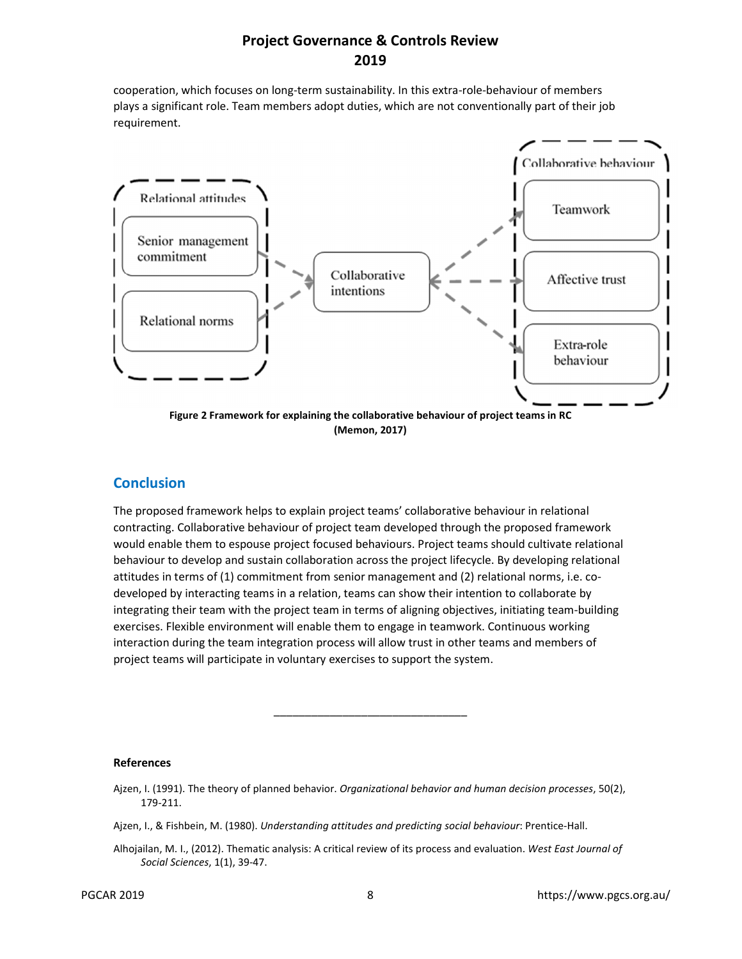cooperation, which focuses on long-term sustainability. In this extra-role-behaviour of members plays a significant role. Team members adopt duties, which are not conventionally part of their job requirement.



#### **Conclusion**

The proposed framework helps to explain project teams' collaborative behaviour in relational contracting. Collaborative behaviour of project team developed through the proposed framework would enable them to espouse project focused behaviours. Project teams should cultivate relational behaviour to develop and sustain collaboration across the project lifecycle. By developing relational attitudes in terms of (1) commitment from senior management and (2) relational norms, i.e. codeveloped by interacting teams in a relation, teams can show their intention to collaborate by integrating their team with the project team in terms of aligning objectives, initiating team-building exercises. Flexible environment will enable them to engage in teamwork. Continuous working interaction during the team integration process will allow trust in other teams and members of project teams will participate in voluntary exercises to support the system.

#### **References**

\_\_\_\_\_\_\_\_\_\_\_\_\_\_\_\_\_\_\_\_\_\_\_\_\_\_\_\_\_\_\_

Ajzen, I., & Fishbein, M. (1980). *Understanding attitudes and predicting social behaviour*: Prentice-Hall.

Ajzen, I. (1991). The theory of planned behavior. *Organizational behavior and human decision processes*, 50(2), 179-211.

Alhojailan, M. I., (2012). Thematic analysis: A critical review of its process and evaluation. *West East Journal of Social Sciences*, 1(1), 39-47.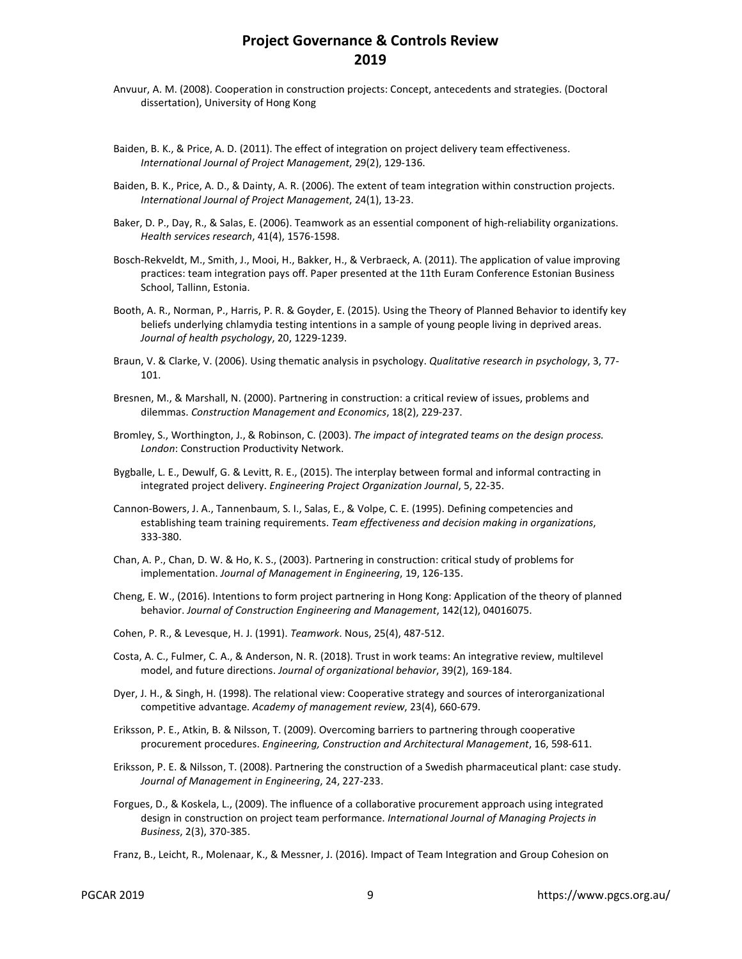- Anvuur, A. M. (2008). Cooperation in construction projects: Concept, antecedents and strategies. (Doctoral dissertation), University of Hong Kong
- Baiden, B. K., & Price, A. D. (2011). The effect of integration on project delivery team effectiveness. *International Journal of Project Management*, 29(2), 129-136.
- Baiden, B. K., Price, A. D., & Dainty, A. R. (2006). The extent of team integration within construction projects. *International Journal of Project Management*, 24(1), 13-23.
- Baker, D. P., Day, R., & Salas, E. (2006). Teamwork as an essential component of high-reliability organizations. *Health services research*, 41(4), 1576-1598.
- Bosch-Rekveldt, M., Smith, J., Mooi, H., Bakker, H., & Verbraeck, A. (2011). The application of value improving practices: team integration pays off. Paper presented at the 11th Euram Conference Estonian Business School, Tallinn, Estonia.
- Booth, A. R., Norman, P., Harris, P. R. & Goyder, E. (2015). Using the Theory of Planned Behavior to identify key beliefs underlying chlamydia testing intentions in a sample of young people living in deprived areas. *Journal of health psychology*, 20, 1229-1239.
- Braun, V. & Clarke, V. (2006). Using thematic analysis in psychology. *Qualitative research in psychology*, 3, 77- 101.
- Bresnen, M., & Marshall, N. (2000). Partnering in construction: a critical review of issues, problems and dilemmas. *Construction Management and Economics*, 18(2), 229-237.
- Bromley, S., Worthington, J., & Robinson, C. (2003). *The impact of integrated teams on the design process. London*: Construction Productivity Network.
- Bygballe, L. E., Dewulf, G. & Levitt, R. E., (2015). The interplay between formal and informal contracting in integrated project delivery. *Engineering Project Organization Journal*, 5, 22-35.
- Cannon-Bowers, J. A., Tannenbaum, S. I., Salas, E., & Volpe, C. E. (1995). Defining competencies and establishing team training requirements. *Team effectiveness and decision making in organizations*, 333-380.
- Chan, A. P., Chan, D. W. & Ho, K. S., (2003). Partnering in construction: critical study of problems for implementation. *Journal of Management in Engineering*, 19, 126-135.
- Cheng, E. W., (2016). Intentions to form project partnering in Hong Kong: Application of the theory of planned behavior. *Journal of Construction Engineering and Management*, 142(12), 04016075.
- Cohen, P. R., & Levesque, H. J. (1991). *Teamwork*. Nous, 25(4), 487-512.
- Costa, A. C., Fulmer, C. A., & Anderson, N. R. (2018). Trust in work teams: An integrative review, multilevel model, and future directions. *Journal of organizational behavior*, 39(2), 169-184.
- Dyer, J. H., & Singh, H. (1998). The relational view: Cooperative strategy and sources of interorganizational competitive advantage. *Academy of management review*, 23(4), 660-679.
- Eriksson, P. E., Atkin, B. & Nilsson, T. (2009). Overcoming barriers to partnering through cooperative procurement procedures. *Engineering, Construction and Architectural Management*, 16, 598-611.
- Eriksson, P. E. & Nilsson, T. (2008). Partnering the construction of a Swedish pharmaceutical plant: case study. *Journal of Management in Engineering*, 24, 227-233.
- Forgues, D., & Koskela, L., (2009). The influence of a collaborative procurement approach using integrated design in construction on project team performance. *International Journal of Managing Projects in Business*, 2(3), 370-385.
- Franz, B., Leicht, R., Molenaar, K., & Messner, J. (2016). Impact of Team Integration and Group Cohesion on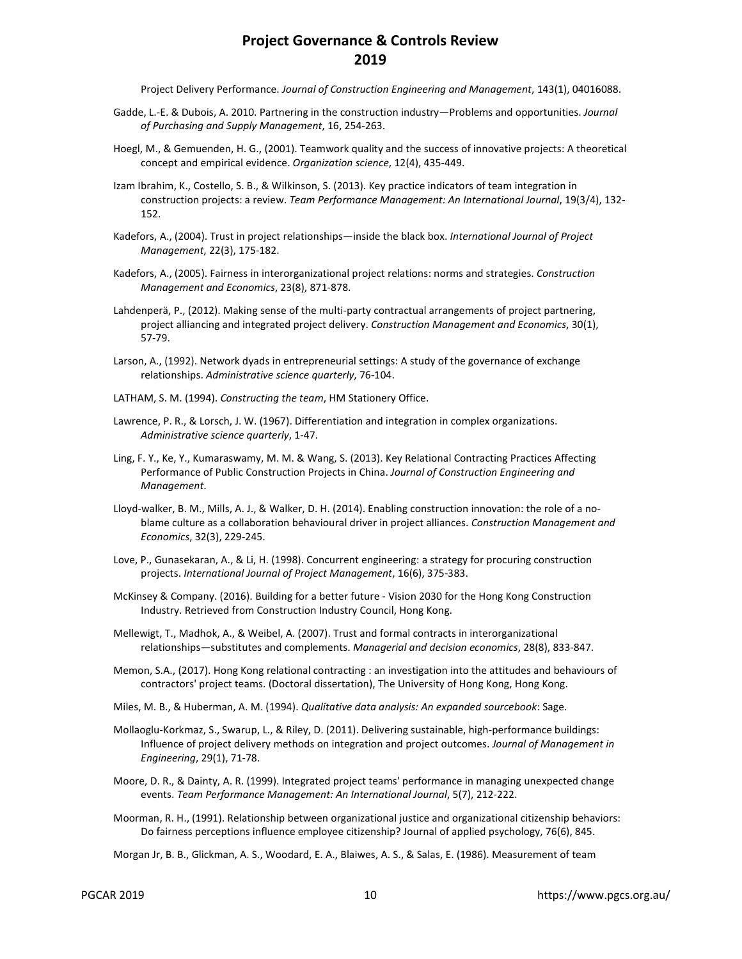Project Delivery Performance. *Journal of Construction Engineering and Management*, 143(1), 04016088.

- Gadde, L.-E. & Dubois, A. 2010. Partnering in the construction industry—Problems and opportunities. *Journal of Purchasing and Supply Management*, 16, 254-263.
- Hoegl, M., & Gemuenden, H. G., (2001). Teamwork quality and the success of innovative projects: A theoretical concept and empirical evidence. *Organization science*, 12(4), 435-449.
- Izam Ibrahim, K., Costello, S. B., & Wilkinson, S. (2013). Key practice indicators of team integration in construction projects: a review. *Team Performance Management: An International Journal*, 19(3/4), 132- 152.
- Kadefors, A., (2004). Trust in project relationships—inside the black box. *International Journal of Project Management*, 22(3), 175-182.
- Kadefors, A., (2005). Fairness in interorganizational project relations: norms and strategies. *Construction Management and Economics*, 23(8), 871-878.
- Lahdenperä, P., (2012). Making sense of the multi-party contractual arrangements of project partnering, project alliancing and integrated project delivery. *Construction Management and Economics*, 30(1), 57-79.
- Larson, A., (1992). Network dyads in entrepreneurial settings: A study of the governance of exchange relationships. *Administrative science quarterly*, 76-104.
- LATHAM, S. M. (1994). *Constructing the team*, HM Stationery Office.
- Lawrence, P. R., & Lorsch, J. W. (1967). Differentiation and integration in complex organizations. *Administrative science quarterly*, 1-47.
- Ling, F. Y., Ke, Y., Kumaraswamy, M. M. & Wang, S. (2013). Key Relational Contracting Practices Affecting Performance of Public Construction Projects in China. *Journal of Construction Engineering and Management*.
- Lloyd-walker, B. M., Mills, A. J., & Walker, D. H. (2014). Enabling construction innovation: the role of a noblame culture as a collaboration behavioural driver in project alliances. *Construction Management and Economics*, 32(3), 229-245.
- Love, P., Gunasekaran, A., & Li, H. (1998). Concurrent engineering: a strategy for procuring construction projects. *International Journal of Project Management*, 16(6), 375-383.
- McKinsey & Company. (2016). Building for a better future Vision 2030 for the Hong Kong Construction Industry. Retrieved from Construction Industry Council, Hong Kong.
- Mellewigt, T., Madhok, A., & Weibel, A. (2007). Trust and formal contracts in interorganizational relationships—substitutes and complements. *Managerial and decision economics*, 28(8), 833-847.
- Memon, S.A., (2017). Hong Kong relational contracting : an investigation into the attitudes and behaviours of contractors' project teams. (Doctoral dissertation), The University of Hong Kong, Hong Kong.
- Miles, M. B., & Huberman, A. M. (1994). *Qualitative data analysis: An expanded sourcebook*: Sage.
- Mollaoglu-Korkmaz, S., Swarup, L., & Riley, D. (2011). Delivering sustainable, high-performance buildings: Influence of project delivery methods on integration and project outcomes. *Journal of Management in Engineering*, 29(1), 71-78.
- Moore, D. R., & Dainty, A. R. (1999). Integrated project teams' performance in managing unexpected change events. *Team Performance Management: An International Journal*, 5(7), 212-222.
- Moorman, R. H., (1991). Relationship between organizational justice and organizational citizenship behaviors: Do fairness perceptions influence employee citizenship? Journal of applied psychology, 76(6), 845.
- Morgan Jr, B. B., Glickman, A. S., Woodard, E. A., Blaiwes, A. S., & Salas, E. (1986). Measurement of team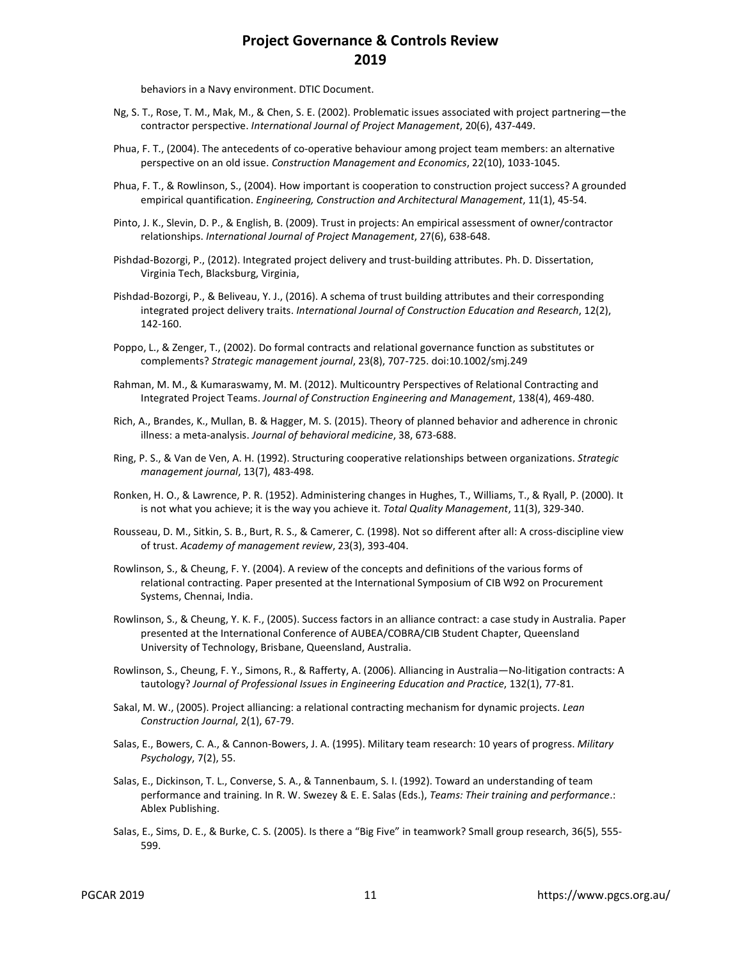behaviors in a Navy environment. DTIC Document.

- Ng, S. T., Rose, T. M., Mak, M., & Chen, S. E. (2002). Problematic issues associated with project partnering—the contractor perspective. *International Journal of Project Management*, 20(6), 437-449.
- Phua, F. T., (2004). The antecedents of co-operative behaviour among project team members: an alternative perspective on an old issue. *Construction Management and Economics*, 22(10), 1033-1045.
- Phua, F. T., & Rowlinson, S., (2004). How important is cooperation to construction project success? A grounded empirical quantification. *Engineering, Construction and Architectural Management*, 11(1), 45-54.
- Pinto, J. K., Slevin, D. P., & English, B. (2009). Trust in projects: An empirical assessment of owner/contractor relationships. *International Journal of Project Management*, 27(6), 638-648.
- Pishdad-Bozorgi, P., (2012). Integrated project delivery and trust-building attributes. Ph. D. Dissertation, Virginia Tech, Blacksburg, Virginia,
- Pishdad-Bozorgi, P., & Beliveau, Y. J., (2016). A schema of trust building attributes and their corresponding integrated project delivery traits. *International Journal of Construction Education and Research*, 12(2), 142-160.
- Poppo, L., & Zenger, T., (2002). Do formal contracts and relational governance function as substitutes or complements? *Strategic management journal*, 23(8), 707-725. doi:10.1002/smj.249
- Rahman, M. M., & Kumaraswamy, M. M. (2012). Multicountry Perspectives of Relational Contracting and Integrated Project Teams. *Journal of Construction Engineering and Management*, 138(4), 469-480.
- Rich, A., Brandes, K., Mullan, B. & Hagger, M. S. (2015). Theory of planned behavior and adherence in chronic illness: a meta-analysis. *Journal of behavioral medicine*, 38, 673-688.
- Ring, P. S., & Van de Ven, A. H. (1992). Structuring cooperative relationships between organizations. *Strategic management journal*, 13(7), 483-498.
- Ronken, H. O., & Lawrence, P. R. (1952). Administering changes in Hughes, T., Williams, T., & Ryall, P. (2000). It is not what you achieve; it is the way you achieve it. *Total Quality Management*, 11(3), 329-340.
- Rousseau, D. M., Sitkin, S. B., Burt, R. S., & Camerer, C. (1998). Not so different after all: A cross-discipline view of trust. *Academy of management review*, 23(3), 393-404.
- Rowlinson, S., & Cheung, F. Y. (2004). A review of the concepts and definitions of the various forms of relational contracting. Paper presented at the International Symposium of CIB W92 on Procurement Systems, Chennai, India.
- Rowlinson, S., & Cheung, Y. K. F., (2005). Success factors in an alliance contract: a case study in Australia. Paper presented at the International Conference of AUBEA/COBRA/CIB Student Chapter, Queensland University of Technology, Brisbane, Queensland, Australia.
- Rowlinson, S., Cheung, F. Y., Simons, R., & Rafferty, A. (2006). Alliancing in Australia—No-litigation contracts: A tautology? *Journal of Professional Issues in Engineering Education and Practice*, 132(1), 77-81.
- Sakal, M. W., (2005). Project alliancing: a relational contracting mechanism for dynamic projects. *Lean Construction Journal*, 2(1), 67-79.
- Salas, E., Bowers, C. A., & Cannon-Bowers, J. A. (1995). Military team research: 10 years of progress. *Military Psychology*, 7(2), 55.
- Salas, E., Dickinson, T. L., Converse, S. A., & Tannenbaum, S. I. (1992). Toward an understanding of team performance and training. In R. W. Swezey & E. E. Salas (Eds.), *Teams: Their training and performance*.: Ablex Publishing.
- Salas, E., Sims, D. E., & Burke, C. S. (2005). Is there a "Big Five" in teamwork? Small group research, 36(5), 555- 599.